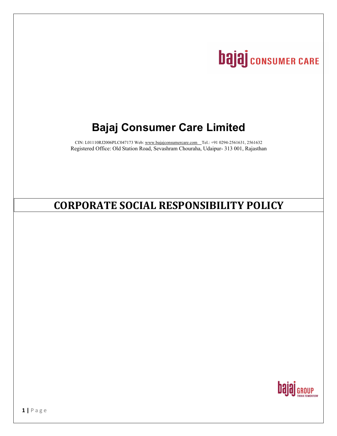# **bajaj** consumer CARE

# **Bajaj Consumer Care Limited**

CIN: L01110RJ2006PLC047173 Web: www.bajajconsumercare.com Tel.: +91 0294-2561631, 2561632 Registered Office: Old Station Road, Sevashram Chouraha, Udaipur- 313 001, Rajasthan

# **CORPORATE SOCIAL RESPONSIBILITY POLICY**

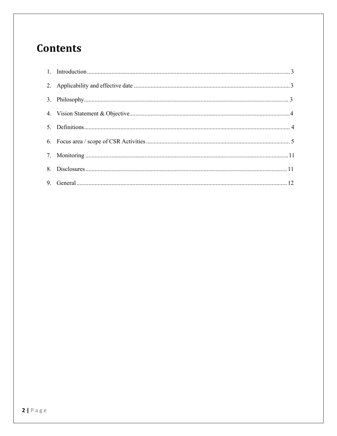# **Contents**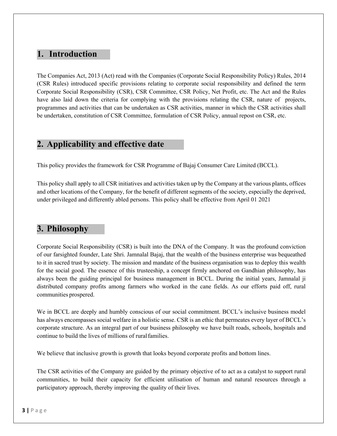# **1. Introduction**

The Companies Act, 2013 (Act) read with the Companies (Corporate Social Responsibility Policy) Rules, 2014 (CSR Rules) introduced specific provisions relating to corporate social responsibility and defined the term Corporate Social Responsibility (CSR), CSR Committee, CSR Policy, Net Profit, etc. The Act and the Rules have also laid down the criteria for complying with the provisions relating the CSR, nature of projects, programmes and activities that can be undertaken as CSR activities, manner in which the CSR activities shall be undertaken, constitution of CSR Committee, formulation of CSR Policy, annual repost on CSR, etc.

# **2. Applicability and effective date**

This policy provides the framework for CSR Programme of Bajaj Consumer Care Limited (BCCL).

This policy shall apply to all CSR initiatives and activities taken up by the Company at the various plants, offices and other locations of the Company, for the benefit of different segments of the society, especially the deprived, under privileged and differently abled persons. This policy shall be effective from April 01 2021

# **3. Philosophy**

Corporate Social Responsibility (CSR) is built into the DNA of the Company. It was the profound conviction of our farsighted founder, Late Shri. Jamnalal Bajaj, that the wealth of the business enterprise was bequeathed to it in sacred trust by society. The mission and mandate of the business organisation was to deploy this wealth for the social good. The essence of this trusteeship, a concept firmly anchored on Gandhian philosophy, has always been the guiding principal for business management in BCCL. During the initial years, Jamnalal ji distributed company profits among farmers who worked in the cane fields. As our efforts paid off, rural communities prospered.

We in BCCL are deeply and humbly conscious of our social commitment. BCCL's inclusive business model has always encompasses social welfare in a holistic sense. CSR is an ethic that permeates every layer of BCCL's corporate structure. As an integral part of our business philosophy we have built roads, schools, hospitals and continue to build the lives of millions of ruralfamilies.

We believe that inclusive growth is growth that looks beyond corporate profits and bottom lines.

The CSR activities of the Company are guided by the primary objective of to act as a catalyst to support rural communities, to build their capacity for efficient utilisation of human and natural resources through a participatory approach, thereby improving the quality of their lives.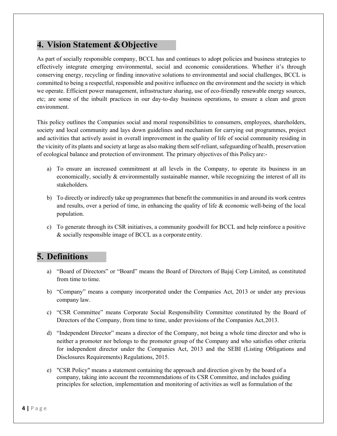# **4. Vision Statement &Objective**

As part of socially responsible company, BCCL has and continues to adopt policies and business strategies to effectively integrate emerging environmental, social and economic considerations. Whether it's through conserving energy, recycling or finding innovative solutions to environmental and social challenges, BCCL is committed to being a respectful, responsible and positive influence on the environment and the society in which we operate. Efficient power management, infrastructure sharing, use of eco-friendly renewable energy sources, etc; are some of the inbuilt practices in our day-to-day business operations, to ensure a clean and green environment.

This policy outlines the Companies social and moral responsibilities to consumers, employees, shareholders, society and local community and lays down guidelines and mechanism for carrying out programmes, project and activities that actively assist in overall improvement in the quality of life of social community residing in the vicinity of its plants and society at large as also making them self-reliant, safeguarding of health, preservation of ecological balance and protection of environment. The primary objectives of this Policyare:-

- a) To ensure an increased commitment at all levels in the Company, to operate its business in an economically, socially & environmentally sustainable manner, while recognizing the interest of all its stakeholders.
- b) To directly or indirectly take up programmes that benefit the communities in and around its work centres and results, over a period of time, in enhancing the quality of life & economic well-being of the local population.
- c) To generate through its CSR initiatives, a community goodwill for BCCL and help reinforce a positive & socially responsible image of BCCL as a corporate entity.

## **5. Definitions**

- a) "Board of Directors" or "Board" means the Board of Directors of Bajaj Corp Limited, as constituted from time to time.
- b) "Company" means a company incorporated under the Companies Act, 2013 or under any previous company law.
- c) "CSR Committee" means Corporate Social Responsibility Committee constituted by the Board of Directors of the Company, from time to time, under provisions of the Companies Act,2013.
- d) "Independent Director" means a director of the Company, not being a whole time director and who is neither a promoter nor belongs to the promoter group of the Company and who satisfies other criteria for independent director under the Companies Act, 2013 and the SEBI (Listing Obligations and Disclosures Requirements) Regulations, 2015.
- e) "CSR Policy" means a statement containing the approach and direction given by the board of a company, taking into account the recommendations of its CSR Committee, and includes guiding principles for selection, implementation and monitoring of activities as well as formulation of the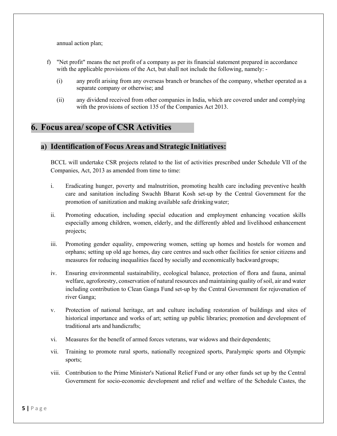annual action plan;

- f) "Net profit" means the net profit of a company as per its financial statement prepared in accordance with the applicable provisions of the Act, but shall not include the following, namely: -
	- (i) any profit arising from any overseas branch or branches of the company, whether operated as a separate company or otherwise; and
	- (ii) any dividend received from other companies in India, which are covered under and complying with the provisions of section 135 of the Companies Act 2013.

# **6. Focus area/ scope of CSR Activities**

#### **a) Identification of Focus Areas and Strategic Initiatives:**

BCCL will undertake CSR projects related to the list of activities prescribed under Schedule VII of the Companies, Act, 2013 as amended from time to time:

- i. Eradicating hunger, poverty and malnutrition, promoting health care including preventive health care and sanitation including Swachh Bharat Kosh set-up by the Central Government for the promotion of sanitization and making available safe drinkingwater;
- ii. Promoting education, including special education and employment enhancing vocation skills especially among children, women, elderly, and the differently abled and livelihood enhancement projects;
- iii. Promoting gender equality, empowering women, setting up homes and hostels for women and orphans; setting up old age homes, day care centres and such other facilities for senior citizens and measures for reducing inequalities faced by socially and economically backwardgroups;
- iv. Ensuring environmental sustainability, ecological balance, protection of flora and fauna, animal welfare, agroforestry, conservation of natural resources and maintaining quality of soil, air and water including contribution to Clean Ganga Fund set-up by the Central Government for rejuvenation of river Ganga;
- v. Protection of national heritage, art and culture including restoration of buildings and sites of historical importance and works of art; setting up public libraries; promotion and development of traditional arts and handicrafts;
- vi. Measures for the benefit of armed forces veterans, war widows and theirdependents;
- vii. Training to promote rural sports, nationally recognized sports, Paralympic sports and Olympic sports;
- viii. Contribution to the Prime Minister's National Relief Fund or any other funds set up by the Central Government for socio-economic development and relief and welfare of the Schedule Castes, the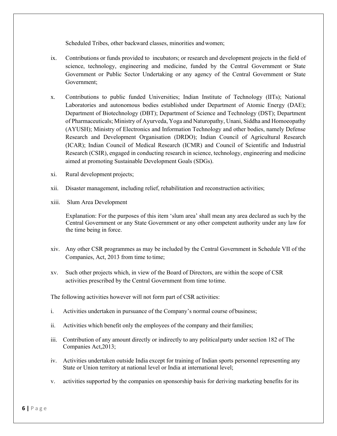Scheduled Tribes, other backward classes, minorities andwomen;

- ix. Contributions or funds provided to incubators; or research and development projects in the field of science, technology, engineering and medicine, funded by the Central Government or State Government or Public Sector Undertaking or any agency of the Central Government or State Government;
- x. Contributions to public funded Universities; Indian Institute of Technology (IITs); National Laboratories and autonomous bodies established under Department of Atomic Energy (DAE); Department of Biotechnology (DBT); Department of Science and Technology (DST); Department of Pharmaceuticals; Ministry of Ayurveda, Yoga and Naturopathy, Unani, Siddha and Homoeopathy (AYUSH); Ministry of Electronics and Information Technology and other bodies, namely Defense Research and Development Organisation (DRDO); Indian Council of Agricultural Research (ICAR); Indian Council of Medical Research (ICMR) and Council of Scientific and Industrial Research (CSIR), engaged in conducting research in science, technology, engineering and medicine aimed at promoting Sustainable Development Goals (SDGs).
- xi. Rural development projects;
- xii. Disaster management, including relief, rehabilitation and reconstruction activities;
- xiii. Slum Area Development

Explanation: For the purposes of this item 'slum area' shall mean any area declared as such by the Central Government or any State Government or any other competent authority under any law for the time being in force.

- xiv. Any other CSR programmes as may be included by the Central Government in Schedule VII of the Companies, Act, 2013 from time to time;
- xv. Such other projects which, in view of the Board of Directors, are within the scope of CSR activities prescribed by the Central Government from time totime.

The following activities however will not form part of CSR activities:

- i. Activities undertaken in pursuance of the Company's normal course of business;
- ii. Activities which benefit only the employees of the company and theirfamilies;
- iii. Contribution of any amount directly or indirectly to any politicalparty under section 182 of The Companies Act,2013;
- iv. Activities undertaken outside India except for training of Indian sports personnel representing any State or Union territory at national level or India at international level;
- v. activities supported by the companies on sponsorship basis for deriving marketing benefits for its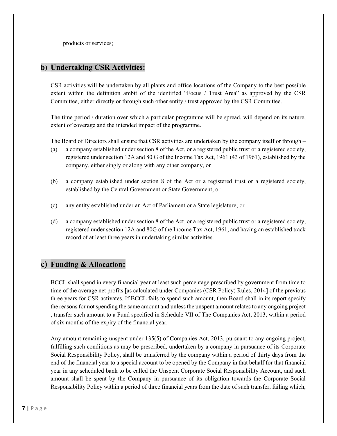products or services;

#### **b) Undertaking CSR Activities:**

CSR activities will be undertaken by all plants and office locations of the Company to the best possible extent within the definition ambit of the identified "Focus / Trust Area" as approved by the CSR Committee, either directly or through such other entity / trust approved by the CSR Committee.

The time period / duration over which a particular programme will be spread, will depend on its nature, extent of coverage and the intended impact of the programme.

The Board of Directors shall ensure that CSR activities are undertaken by the company itself or through –

- (a) a company established under section 8 of the Act, or a registered public trust or a registered society, registered under section 12A and 80 G of the Income Tax Act, 1961 (43 of 1961), established by the company, either singly or along with any other company, or
- (b) a company established under section 8 of the Act or a registered trust or a registered society, established by the Central Government or State Government; or
- (c) any entity established under an Act of Parliament or a State legislature; or
- (d) a company established under section 8 of the Act, or a registered public trust or a registered society, registered under section 12A and 80G of the Income Tax Act, 1961, and having an established track record of at least three years in undertaking similar activities.

### **c) Funding & Allocation:**

BCCL shall spend in every financial year at least such percentage prescribed by government from time to time of the average net profits [as calculated under Companies (CSR Policy) Rules, 2014] of the previous three years for CSR activates. If BCCL fails to spend such amount, then Board shall in its report specify the reasons for not spending the same amount and unless the unspent amount relates to any ongoing project , transfer such amount to a Fund specified in Schedule VII of The Companies Act, 2013, within a period of six months of the expiry of the financial year.

Any amount remaining unspent under 135(5) of Companies Act, 2013, pursuant to any ongoing project, fulfilling such conditions as may be prescribed, undertaken by a company in pursuance of its Corporate Social Responsibility Policy, shall be transferred by the company within a period of thirty days from the end of the financial year to a special account to be opened by the Company in that behalf for that financial year in any scheduled bank to be called the Unspent Corporate Social Responsibility Account, and such amount shall be spent by the Company in pursuance of its obligation towards the Corporate Social Responsibility Policy within a period of three financial years from the date of such transfer, failing which,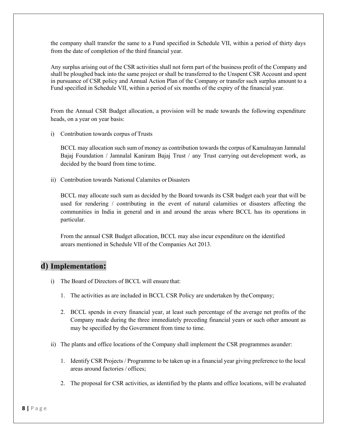the company shall transfer the same to a Fund specified in Schedule VII, within a period of thirty days from the date of completion of the third financial year.

Any surplus arising out of the CSR activities shall not form part of the business profit of the Company and shall be ploughed back into the same project or shall be transferred to the Unspent CSR Account and spent in pursuance of CSR policy and Annual Action Plan of the Company or transfer such surplus amount to a Fund specified in Schedule VII, within a period of six months of the expiry of the financial year.

From the Annual CSR Budget allocation, a provision will be made towards the following expenditure heads, on a year on year basis:

i) Contribution towards corpus of Trusts

BCCL may allocation such sum of money as contribution towards the corpus of Kamalnayan Jamnalal Bajaj Foundation / Jamnalal Kaniram Bajaj Trust / any Trust carrying out development work, as decided by the board from time to time.

ii) Contribution towards National Calamites or Disasters

BCCL may allocate such sum as decided by the Board towards its CSR budget each year that will be used for rendering / contributing in the event of natural calamities or disasters affecting the communities in India in general and in and around the areas where BCCL has its operations in particular.

From the annual CSR Budget allocation, BCCL may also incur expenditure on the identified arears mentioned in Schedule VII of the Companies Act 2013.

### **d) Implementation:**

- i) The Board of Directors of BCCL will ensure that:
	- 1. The activities as are included in BCCL CSR Policy are undertaken by theCompany;
	- 2. BCCL spends in every financial year, at least such percentage of the average net profits of the Company made during the three immediately preceding financial years or such other amount as may be specified by the Government from time to time.
- ii) The plants and office locations of the Company shall implement the CSR programmes asunder:
	- 1. Identify CSR Projects / Programme to be taken up in a financial year giving preference to the local areas around factories / offices;
	- 2. The proposal for CSR activities, as identified by the plants and office locations, will be evaluated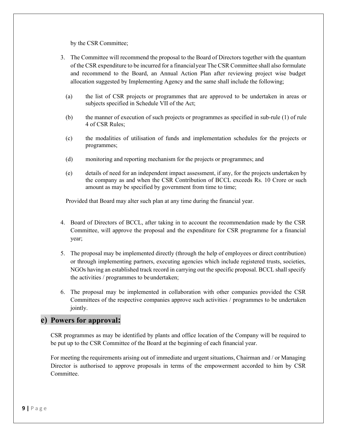by the CSR Committee;

- 3. The Committee will recommend the proposal to the Board of Directors together with the quantum of the CSR expenditure to be incurred for a financialyear The CSR Committee shall also formulate and recommend to the Board, an Annual Action Plan after reviewing project wise budget allocation suggested by Implementing Agency and the same shall include the following;
	- (a) the list of CSR projects or programmes that are approved to be undertaken in areas or subjects specified in Schedule VII of the Act;
	- (b) the manner of execution of such projects or programmes as specified in sub-rule (1) of rule 4 of CSR Rules;
	- (c) the modalities of utilisation of funds and implementation schedules for the projects or programmes;
	- (d) monitoring and reporting mechanism for the projects or programmes; and
	- (e) details of need for an independent impact assessment, if any, for the projects undertaken by the company as and when the CSR Contribution of BCCL exceeds Rs. 10 Crore or such amount as may be specified by government from time to time;

Provided that Board may alter such plan at any time during the financial year.

- 4. Board of Directors of BCCL, after taking in to account the recommendation made by the CSR Committee, will approve the proposal and the expenditure for CSR programme for a financial year;
- 5. The proposal may be implemented directly (through the help of employees or direct contribution) or through implementing partners, executing agencies which include registered trusts, societies, NGOs having an established track record in carrying out the specific proposal. BCCL shall specify the activities / programmes to beundertaken;
- 6. The proposal may be implemented in collaboration with other companies provided the CSR Committees of the respective companies approve such activities / programmes to be undertaken jointly.

#### **e) Powers for approval:**

CSR programmes as may be identified by plants and office location of the Company will be required to be put up to the CSR Committee of the Board at the beginning of each financial year.

For meeting the requirements arising out of immediate and urgent situations, Chairman and / or Managing Director is authorised to approve proposals in terms of the empowerment accorded to him by CSR Committee.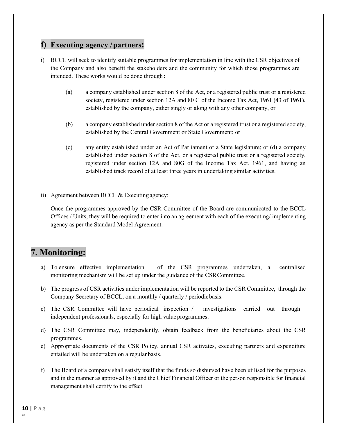#### **f) Executing agency /partners:**

- i) BCCL will seek to identify suitable programmes for implementation in line with the CSR objectives of the Company and also benefit the stakeholders and the community for which those programmes are intended. These works would be done through :
	- (a) a company established under section 8 of the Act, or a registered public trust or a registered society, registered under section 12A and 80 G of the Income Tax Act, 1961 (43 of 1961), established by the company, either singly or along with any other company, or
	- (b) a company established under section 8 of the Act or a registered trust or a registered society, established by the Central Government or State Government; or
	- (c) any entity established under an Act of Parliament or a State legislature; or (d) a company established under section 8 of the Act, or a registered public trust or a registered society, registered under section 12A and 80G of the Income Tax Act, 1961, and having an established track record of at least three years in undertaking similar activities.
- ii) Agreement between BCCL & Executing agency:

Once the programmes approved by the CSR Committee of the Board are communicated to the BCCL Offices / Units, they will be required to enter into an agreement with each of the executing/ implementing agency as per the Standard Model Agreement.

# **7. Monitoring:**

- a) To ensure effective implementation of the CSR programmes undertaken, a centralised monitoring mechanism will be set up under the guidance of the CSRCommittee.
- b) The progress of CSR activities under implementation will be reported to the CSR Committee, through the Company Secretary of BCCL, on a monthly / quarterly / periodicbasis.
- c) The CSR Committee will have periodical inspection / investigations carried out through independent professionals, especially for high value programmes.
- d) The CSR Committee may, independently, obtain feedback from the beneficiaries about the CSR programmes.
- e) Appropriate documents of the CSR Policy, annual CSR activates, executing partners and expenditure entailed will be undertaken on a regular basis.
- f) The Board of a company shall satisfy itself that the funds so disbursed have been utilised for the purposes and in the manner as approved by it and the Chief Financial Officer or the person responsible for financial management shall certify to the effect.